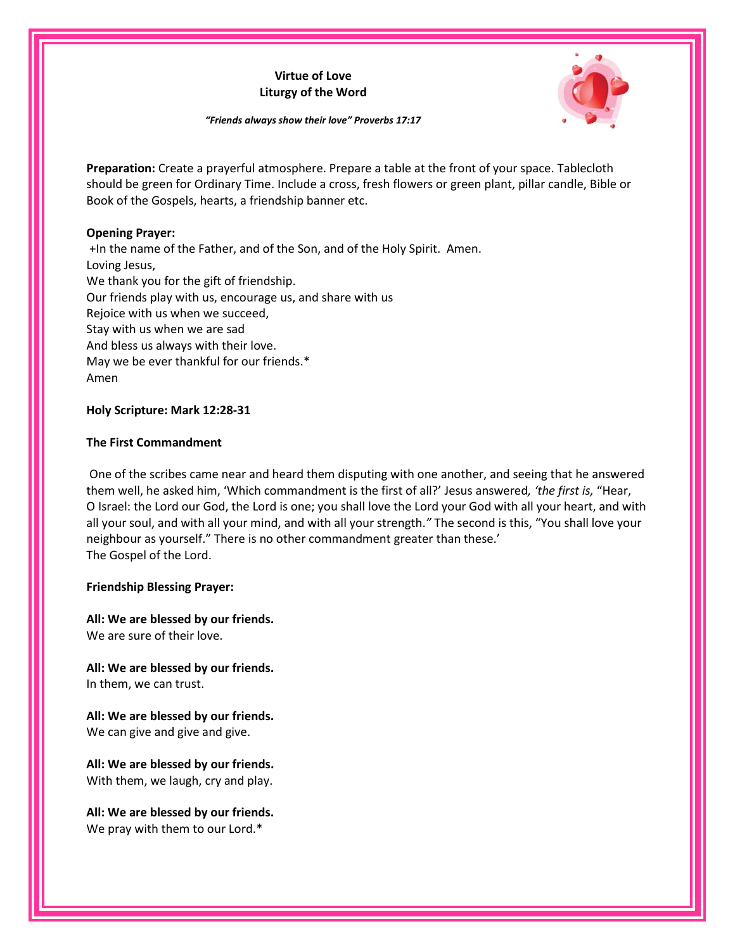# **Virtue of Love Liturgy of the Word**



*"Friends always show their love" Proverbs 17:17*

**Preparation:** Create a prayerful atmosphere. Prepare a table at the front of your space. Tablecloth should be green for Ordinary Time. Include a cross, fresh flowers or green plant, pillar candle, Bible or Book of the Gospels, hearts, a friendship banner etc.

### **Opening Prayer:**

+In the name of the Father, and of the Son, and of the Holy Spirit. Amen. Loving Jesus, We thank you for the gift of friendship. Our friends play with us, encourage us, and share with us Rejoice with us when we succeed, Stay with us when we are sad And bless us always with their love. May we be ever thankful for our friends.\* Amen

### **Holy Scripture: Mark 12:28-31**

# **The First Commandment**

One of the scribes came near and heard them disputing with one another, and seeing that he answered them well, he asked him, 'Which commandment is the first of all?' Jesus answered*, 'the first is,* "Hear, O Israel: the Lord our God, the Lord is one; you shall love the Lord your God with all your heart, and with all your soul, and with all your mind, and with all your strength.*"* The second is this, "You shall love your neighbour as yourself." There is no other commandment greater than these.' The Gospel of the Lord.

# **Friendship Blessing Prayer:**

**All: We are blessed by our friends.**  We are sure of their love.

**All: We are blessed by our friends.** In them, we can trust.

**All: We are blessed by our friends.** We can give and give and give.

**All: We are blessed by our friends.** With them, we laugh, cry and play.

**All: We are blessed by our friends.** We pray with them to our Lord.\*